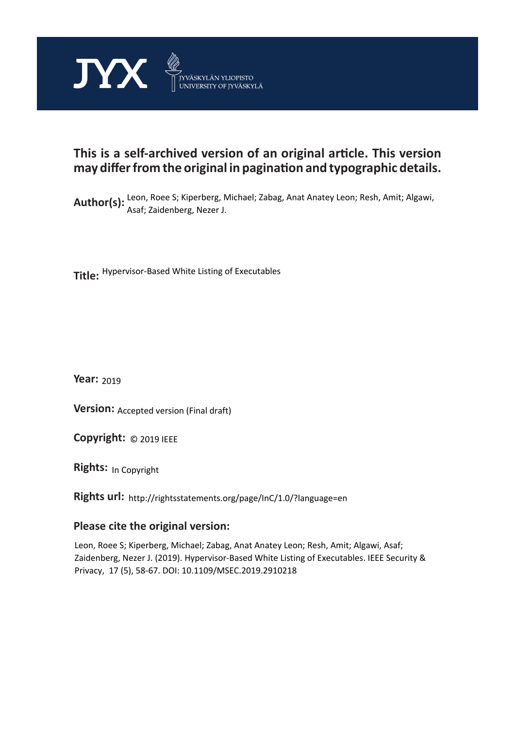

# **This is a self-archived version of an original article. This version may differ from the original in pagination and typographic details.**

Author(s): Leon, Roee S; Kiperberg, Michael; Zabag, Anat Anatey Leon; Resh, Amit; Algawi, Asaf; Zaidenberg, Nezer J.

**Title:**  Hypervisor-Based White Listing of Executables

**Year:**  2019

**Version:** Accepted version (Final draft)<br>**Copyright:** © 2019 IEEE

**Copyright:**

**Rights:** In Copyright

**Rights url:**  http://rightsstatements.org/page/InC/1.0/?language=en

# **Please cite the original version:**

Leon, Roee S; Kiperberg, Michael; Zabag, Anat Anatey Leon; Resh, Amit; Algawi, Asaf; Zaidenberg, Nezer J. (2019). Hypervisor-Based White Listing of Executables. IEEE Security & Privacy, 17 (5), 58-67. DOI: 10.1109/MSEC.2019.2910218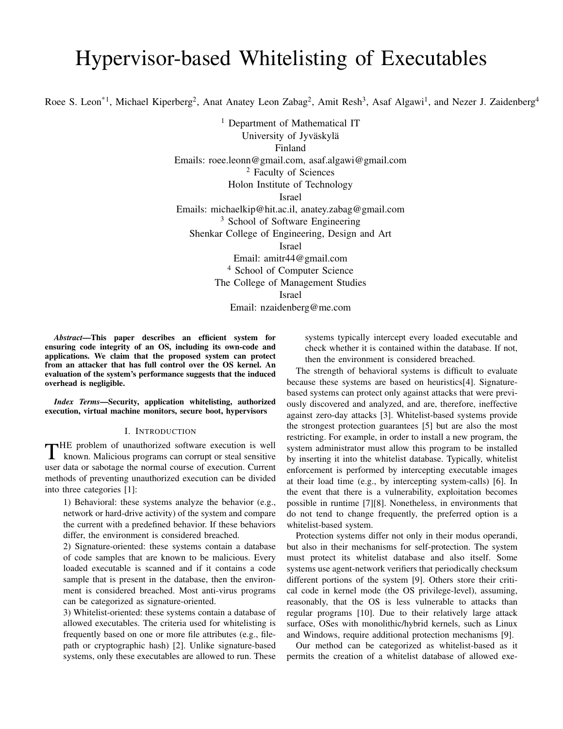# Hypervisor-based Whitelisting of Executables

Roee S. Leon<sup>\*1</sup>, Michael Kiperberg<sup>2</sup>, Anat Anatey Leon Zabag<sup>2</sup>, Amit Resh<sup>3</sup>, Asaf Algawi<sup>1</sup>, and Nezer J. Zaidenberg<sup>4</sup>

<sup>1</sup> Department of Mathematical IT University of Jyväskylä Finland Emails: roee.leonn@gmail.com, asaf.algawi@gmail.com <sup>2</sup> Faculty of Sciences Holon Institute of Technology Israel Emails: michaelkip@hit.ac.il, anatey.zabag@gmail.com <sup>3</sup> School of Software Engineering Shenkar College of Engineering, Design and Art Israel Email: amitr44@gmail.com <sup>4</sup> School of Computer Science The College of Management Studies Israel

Email: nzaidenberg@me.com

*Abstract*—This paper describes an efficient system for ensuring code integrity of an OS, including its own-code and applications. We claim that the proposed system can protect from an attacker that has full control over the OS kernel. An evaluation of the system's performance suggests that the induced overhead is negligible.

*Index Terms*—Security, application whitelisting, authorized execution, virtual machine monitors, secure boot, hypervisors

# I. INTRODUCTION

THE problem of unauthorized software execution is well<br>known. Malicious programs can corrupt or steal sensitive known. Malicious programs can corrupt or steal sensitive user data or sabotage the normal course of execution. Current methods of preventing unauthorized execution can be divided into three categories [1]:

1) Behavioral: these systems analyze the behavior (e.g., network or hard-drive activity) of the system and compare the current with a predefined behavior. If these behaviors differ, the environment is considered breached.

2) Signature-oriented: these systems contain a database of code samples that are known to be malicious. Every loaded executable is scanned and if it contains a code sample that is present in the database, then the environment is considered breached. Most anti-virus programs can be categorized as signature-oriented.

3) Whitelist-oriented: these systems contain a database of allowed executables. The criteria used for whitelisting is frequently based on one or more file attributes (e.g., filepath or cryptographic hash) [2]. Unlike signature-based systems, only these executables are allowed to run. These

systems typically intercept every loaded executable and check whether it is contained within the database. If not, then the environment is considered breached.

The strength of behavioral systems is difficult to evaluate because these systems are based on heuristics[4]. Signaturebased systems can protect only against attacks that were previously discovered and analyzed, and are, therefore, ineffective against zero-day attacks [3]. Whitelist-based systems provide the strongest protection guarantees [5] but are also the most restricting. For example, in order to install a new program, the system administrator must allow this program to be installed by inserting it into the whitelist database. Typically, whitelist enforcement is performed by intercepting executable images at their load time (e.g., by intercepting system-calls) [6]. In the event that there is a vulnerability, exploitation becomes possible in runtime [7][8]. Nonetheless, in environments that do not tend to change frequently, the preferred option is a whitelist-based system.

Protection systems differ not only in their modus operandi, but also in their mechanisms for self-protection. The system must protect its whitelist database and also itself. Some systems use agent-network verifiers that periodically checksum different portions of the system [9]. Others store their critical code in kernel mode (the OS privilege-level), assuming, reasonably, that the OS is less vulnerable to attacks than regular programs [10]. Due to their relatively large attack surface, OSes with monolithic/hybrid kernels, such as Linux and Windows, require additional protection mechanisms [9].

Our method can be categorized as whitelist-based as it permits the creation of a whitelist database of allowed exe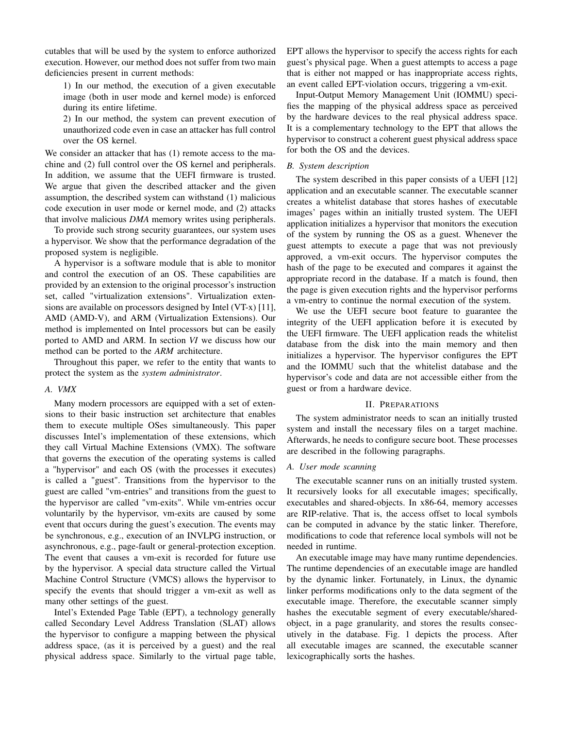cutables that will be used by the system to enforce authorized execution. However, our method does not suffer from two main deficiencies present in current methods:

1) In our method, the execution of a given executable image (both in user mode and kernel mode) is enforced during its entire lifetime.

2) In our method, the system can prevent execution of unauthorized code even in case an attacker has full control over the OS kernel.

We consider an attacker that has (1) remote access to the machine and (2) full control over the OS kernel and peripherals. In addition, we assume that the UEFI firmware is trusted. We argue that given the described attacker and the given assumption, the described system can withstand (1) malicious code execution in user mode or kernel mode, and (2) attacks that involve malicious *DMA* memory writes using peripherals.

To provide such strong security guarantees, our system uses a hypervisor. We show that the performance degradation of the proposed system is negligible.

A hypervisor is a software module that is able to monitor and control the execution of an OS. These capabilities are provided by an extension to the original processor's instruction set, called "virtualization extensions". Virtualization extensions are available on processors designed by Intel (VT-x) [11], AMD (AMD-V), and ARM (Virtualization Extensions). Our method is implemented on Intel processors but can be easily ported to AMD and ARM. In section *VI* we discuss how our method can be ported to the *ARM* architecture.

Throughout this paper, we refer to the entity that wants to protect the system as the *system administrator*.

# *A. VMX*

Many modern processors are equipped with a set of extensions to their basic instruction set architecture that enables them to execute multiple OSes simultaneously. This paper discusses Intel's implementation of these extensions, which they call Virtual Machine Extensions (VMX). The software that governs the execution of the operating systems is called a "hypervisor" and each OS (with the processes it executes) is called a "guest". Transitions from the hypervisor to the guest are called "vm-entries" and transitions from the guest to the hypervisor are called "vm-exits". While vm-entries occur voluntarily by the hypervisor, vm-exits are caused by some event that occurs during the guest's execution. The events may be synchronous, e.g., execution of an INVLPG instruction, or asynchronous, e.g., page-fault or general-protection exception. The event that causes a vm-exit is recorded for future use by the hypervisor. A special data structure called the Virtual Machine Control Structure (VMCS) allows the hypervisor to specify the events that should trigger a vm-exit as well as many other settings of the guest.

Intel's Extended Page Table (EPT), a technology generally called Secondary Level Address Translation (SLAT) allows the hypervisor to configure a mapping between the physical address space, (as it is perceived by a guest) and the real physical address space. Similarly to the virtual page table, EPT allows the hypervisor to specify the access rights for each guest's physical page. When a guest attempts to access a page that is either not mapped or has inappropriate access rights, an event called EPT-violation occurs, triggering a vm-exit.

Input-Output Memory Management Unit (IOMMU) specifies the mapping of the physical address space as perceived by the hardware devices to the real physical address space. It is a complementary technology to the EPT that allows the hypervisor to construct a coherent guest physical address space for both the OS and the devices.

# *B. System description*

The system described in this paper consists of a UEFI [12] application and an executable scanner. The executable scanner creates a whitelist database that stores hashes of executable images' pages within an initially trusted system. The UEFI application initializes a hypervisor that monitors the execution of the system by running the OS as a guest. Whenever the guest attempts to execute a page that was not previously approved, a vm-exit occurs. The hypervisor computes the hash of the page to be executed and compares it against the appropriate record in the database. If a match is found, then the page is given execution rights and the hypervisor performs a vm-entry to continue the normal execution of the system.

We use the UEFI secure boot feature to guarantee the integrity of the UEFI application before it is executed by the UEFI firmware. The UEFI application reads the whitelist database from the disk into the main memory and then initializes a hypervisor. The hypervisor configures the EPT and the IOMMU such that the whitelist database and the hypervisor's code and data are not accessible either from the guest or from a hardware device.

# II. PREPARATIONS

The system administrator needs to scan an initially trusted system and install the necessary files on a target machine. Afterwards, he needs to configure secure boot. These processes are described in the following paragraphs.

# *A. User mode scanning*

The executable scanner runs on an initially trusted system. It recursively looks for all executable images; specifically, executables and shared-objects. In x86-64, memory accesses are RIP-relative. That is, the access offset to local symbols can be computed in advance by the static linker. Therefore, modifications to code that reference local symbols will not be needed in runtime.

An executable image may have many runtime dependencies. The runtime dependencies of an executable image are handled by the dynamic linker. Fortunately, in Linux, the dynamic linker performs modifications only to the data segment of the executable image. Therefore, the executable scanner simply hashes the executable segment of every executable/sharedobject, in a page granularity, and stores the results consecutively in the database. Fig. 1 depicts the process. After all executable images are scanned, the executable scanner lexicographically sorts the hashes.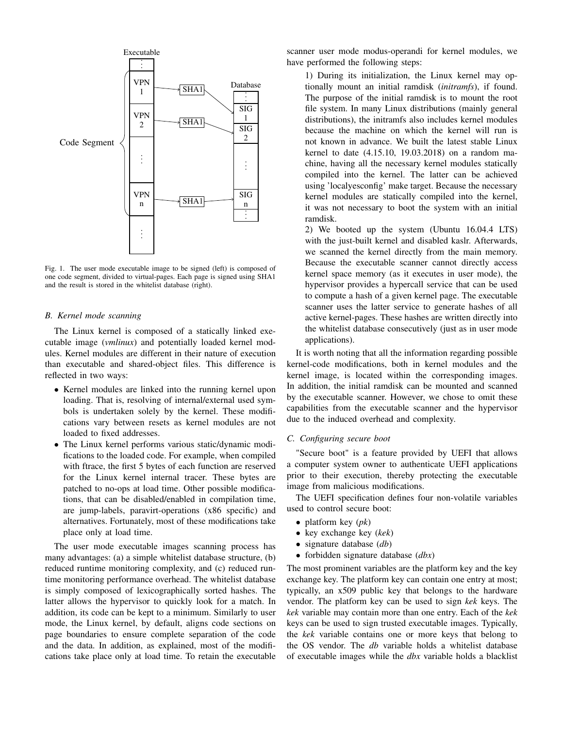

Fig. 1. The user mode executable image to be signed (left) is composed of one code segment, divided to virtual-pages. Each page is signed using SHA1 and the result is stored in the whitelist database (right).

#### *B. Kernel mode scanning*

The Linux kernel is composed of a statically linked executable image (*vmlinux*) and potentially loaded kernel modules. Kernel modules are different in their nature of execution than executable and shared-object files. This difference is reflected in two ways:

- Kernel modules are linked into the running kernel upon loading. That is, resolving of internal/external used symbols is undertaken solely by the kernel. These modifications vary between resets as kernel modules are not loaded to fixed addresses.
- The Linux kernel performs various static/dynamic modifications to the loaded code. For example, when compiled with ftrace, the first 5 bytes of each function are reserved for the Linux kernel internal tracer. These bytes are patched to no-ops at load time. Other possible modifications, that can be disabled/enabled in compilation time, are jump-labels, paravirt-operations (x86 specific) and alternatives. Fortunately, most of these modifications take place only at load time.

The user mode executable images scanning process has many advantages: (a) a simple whitelist database structure, (b) reduced runtime monitoring complexity, and (c) reduced runtime monitoring performance overhead. The whitelist database is simply composed of lexicographically sorted hashes. The latter allows the hypervisor to quickly look for a match. In addition, its code can be kept to a minimum. Similarly to user mode, the Linux kernel, by default, aligns code sections on page boundaries to ensure complete separation of the code and the data. In addition, as explained, most of the modifications take place only at load time. To retain the executable scanner user mode modus-operandi for kernel modules, we have performed the following steps:

1) During its initialization, the Linux kernel may optionally mount an initial ramdisk (*initramfs*), if found. The purpose of the initial ramdisk is to mount the root file system. In many Linux distributions (mainly general distributions), the initramfs also includes kernel modules because the machine on which the kernel will run is not known in advance. We built the latest stable Linux kernel to date (4.15.10, 19.03.2018) on a random machine, having all the necessary kernel modules statically compiled into the kernel. The latter can be achieved using 'localyesconfig' make target. Because the necessary kernel modules are statically compiled into the kernel, it was not necessary to boot the system with an initial ramdisk.

2) We booted up the system (Ubuntu 16.04.4 LTS) with the just-built kernel and disabled kaslr. Afterwards, we scanned the kernel directly from the main memory. Because the executable scanner cannot directly access kernel space memory (as it executes in user mode), the hypervisor provides a hypercall service that can be used to compute a hash of a given kernel page. The executable scanner uses the latter service to generate hashes of all active kernel-pages. These hashes are written directly into the whitelist database consecutively (just as in user mode applications).

It is worth noting that all the information regarding possible kernel-code modifications, both in kernel modules and the kernel image, is located within the corresponding images. In addition, the initial ramdisk can be mounted and scanned by the executable scanner. However, we chose to omit these capabilities from the executable scanner and the hypervisor due to the induced overhead and complexity.

# *C. Configuring secure boot*

"Secure boot" is a feature provided by UEFI that allows a computer system owner to authenticate UEFI applications prior to their execution, thereby protecting the executable image from malicious modifications.

The UEFI specification defines four non-volatile variables used to control secure boot:

- platform key (*pk*)
- key exchange key (*kek*)
- signature database (*db*)
- forbidden signature database (*dbx*)

The most prominent variables are the platform key and the key exchange key. The platform key can contain one entry at most; typically, an x509 public key that belongs to the hardware vendor. The platform key can be used to sign *kek* keys. The *kek* variable may contain more than one entry. Each of the *kek* keys can be used to sign trusted executable images. Typically, the *kek* variable contains one or more keys that belong to the OS vendor. The *db* variable holds a whitelist database of executable images while the *dbx* variable holds a blacklist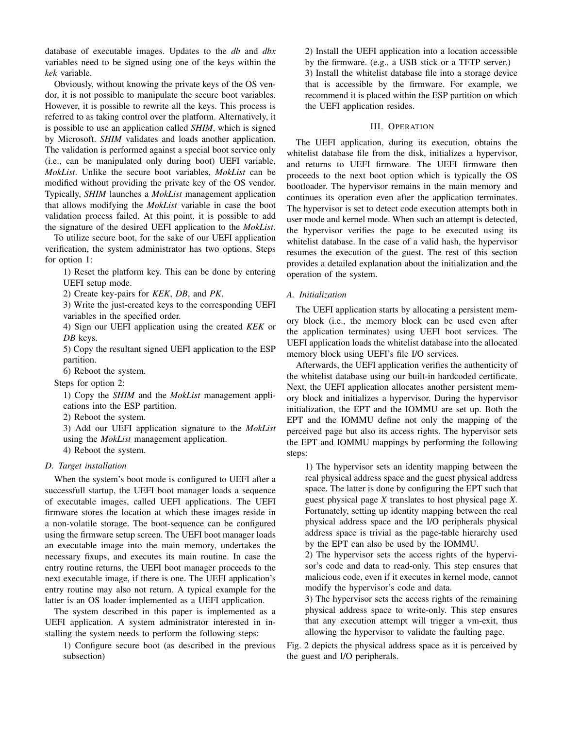database of executable images. Updates to the *db* and *dbx* variables need to be signed using one of the keys within the *kek* variable.

Obviously, without knowing the private keys of the OS vendor, it is not possible to manipulate the secure boot variables. However, it is possible to rewrite all the keys. This process is referred to as taking control over the platform. Alternatively, it is possible to use an application called *SHIM*, which is signed by Microsoft. *SHIM* validates and loads another application. The validation is performed against a special boot service only (i.e., can be manipulated only during boot) UEFI variable, *MokList*. Unlike the secure boot variables, *MokList* can be modified without providing the private key of the OS vendor. Typically, *SHIM* launches a *MokList* management application that allows modifying the *MokList* variable in case the boot validation process failed. At this point, it is possible to add the signature of the desired UEFI application to the *MokList*.

To utilize secure boot, for the sake of our UEFI application verification, the system administrator has two options. Steps for option 1:

1) Reset the platform key. This can be done by entering UEFI setup mode.

2) Create key-pairs for *KEK*, *DB*, and *PK*.

3) Write the just-created keys to the corresponding UEFI variables in the specified order.

4) Sign our UEFI application using the created *KEK* or *DB* keys.

5) Copy the resultant signed UEFI application to the ESP partition.

6) Reboot the system.

Steps for option 2:

1) Copy the *SHIM* and the *MokList* management applications into the ESP partition.

2) Reboot the system.

3) Add our UEFI application signature to the *MokList* using the *MokList* management application.

4) Reboot the system.

# *D. Target installation*

When the system's boot mode is configured to UEFI after a successfull startup, the UEFI boot manager loads a sequence of executable images, called UEFI applications. The UEFI firmware stores the location at which these images reside in a non-volatile storage. The boot-sequence can be configured using the firmware setup screen. The UEFI boot manager loads an executable image into the main memory, undertakes the necessary fixups, and executes its main routine. In case the entry routine returns, the UEFI boot manager proceeds to the next executable image, if there is one. The UEFI application's entry routine may also not return. A typical example for the latter is an OS loader implemented as a UEFI application.

The system described in this paper is implemented as a UEFI application. A system administrator interested in installing the system needs to perform the following steps:

1) Configure secure boot (as described in the previous subsection)

2) Install the UEFI application into a location accessible by the firmware. (e.g., a USB stick or a TFTP server.) 3) Install the whitelist database file into a storage device that is accessible by the firmware. For example, we recommend it is placed within the ESP partition on which the UEFI application resides.

# III. OPERATION

The UEFI application, during its execution, obtains the whitelist database file from the disk, initializes a hypervisor, and returns to UEFI firmware. The UEFI firmware then proceeds to the next boot option which is typically the OS bootloader. The hypervisor remains in the main memory and continues its operation even after the application terminates. The hypervisor is set to detect code execution attempts both in user mode and kernel mode. When such an attempt is detected, the hypervisor verifies the page to be executed using its whitelist database. In the case of a valid hash, the hypervisor resumes the execution of the guest. The rest of this section provides a detailed explanation about the initialization and the operation of the system.

# *A. Initialization*

The UEFI application starts by allocating a persistent memory block (i.e., the memory block can be used even after the application terminates) using UEFI boot services. The UEFI application loads the whitelist database into the allocated memory block using UEFI's file I/O services.

Afterwards, the UEFI application verifies the authenticity of the whitelist database using our built-in hardcoded certificate. Next, the UEFI application allocates another persistent memory block and initializes a hypervisor. During the hypervisor initialization, the EPT and the IOMMU are set up. Both the EPT and the IOMMU define not only the mapping of the perceived page but also its access rights. The hypervisor sets the EPT and IOMMU mappings by performing the following steps:

1) The hypervisor sets an identity mapping between the real physical address space and the guest physical address space. The latter is done by configuring the EPT such that guest physical page *X* translates to host physical page *X*. Fortunately, setting up identity mapping between the real physical address space and the I/O peripherals physical address space is trivial as the page-table hierarchy used by the EPT can also be used by the IOMMU.

2) The hypervisor sets the access rights of the hypervisor's code and data to read-only. This step ensures that malicious code, even if it executes in kernel mode, cannot modify the hypervisor's code and data.

3) The hypervisor sets the access rights of the remaining physical address space to write-only. This step ensures that any execution attempt will trigger a vm-exit, thus allowing the hypervisor to validate the faulting page.

Fig. 2 depicts the physical address space as it is perceived by the guest and I/O peripherals.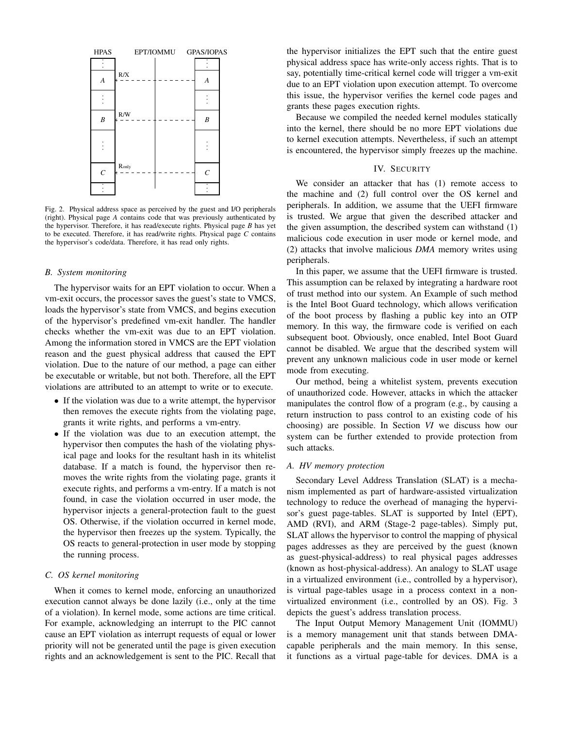

Fig. 2. Physical address space as perceived by the guest and I/O peripherals (right). Physical page *A* contains code that was previously authenticated by the hypervisor. Therefore, it has read/execute rights. Physical page *B* has yet to be executed. Therefore, it has read/write rights. Physical page *C* contains the hypervisor's code/data. Therefore, it has read only rights.

# *B. System monitoring*

The hypervisor waits for an EPT violation to occur. When a vm-exit occurs, the processor saves the guest's state to VMCS, loads the hypervisor's state from VMCS, and begins execution of the hypervisor's predefined vm-exit handler. The handler checks whether the vm-exit was due to an EPT violation. Among the information stored in VMCS are the EPT violation reason and the guest physical address that caused the EPT violation. Due to the nature of our method, a page can either be executable or writable, but not both. Therefore, all the EPT violations are attributed to an attempt to write or to execute.

- If the violation was due to a write attempt, the hypervisor then removes the execute rights from the violating page, grants it write rights, and performs a vm-entry.
- If the violation was due to an execution attempt, the hypervisor then computes the hash of the violating physical page and looks for the resultant hash in its whitelist database. If a match is found, the hypervisor then removes the write rights from the violating page, grants it execute rights, and performs a vm-entry. If a match is not found, in case the violation occurred in user mode, the hypervisor injects a general-protection fault to the guest OS. Otherwise, if the violation occurred in kernel mode, the hypervisor then freezes up the system. Typically, the OS reacts to general-protection in user mode by stopping the running process.

#### *C. OS kernel monitoring*

When it comes to kernel mode, enforcing an unauthorized execution cannot always be done lazily (i.e., only at the time of a violation). In kernel mode, some actions are time critical. For example, acknowledging an interrupt to the PIC cannot cause an EPT violation as interrupt requests of equal or lower priority will not be generated until the page is given execution rights and an acknowledgement is sent to the PIC. Recall that

the hypervisor initializes the EPT such that the entire guest physical address space has write-only access rights. That is to say, potentially time-critical kernel code will trigger a vm-exit due to an EPT violation upon execution attempt. To overcome this issue, the hypervisor verifies the kernel code pages and grants these pages execution rights.

Because we compiled the needed kernel modules statically into the kernel, there should be no more EPT violations due to kernel execution attempts. Nevertheless, if such an attempt is encountered, the hypervisor simply freezes up the machine.

# IV. SECURITY

We consider an attacker that has (1) remote access to the machine and (2) full control over the OS kernel and peripherals. In addition, we assume that the UEFI firmware is trusted. We argue that given the described attacker and the given assumption, the described system can withstand (1) malicious code execution in user mode or kernel mode, and (2) attacks that involve malicious *DMA* memory writes using peripherals.

In this paper, we assume that the UEFI firmware is trusted. This assumption can be relaxed by integrating a hardware root of trust method into our system. An Example of such method is the Intel Boot Guard technology, which allows verification of the boot process by flashing a public key into an OTP memory. In this way, the firmware code is verified on each subsequent boot. Obviously, once enabled, Intel Boot Guard cannot be disabled. We argue that the described system will prevent any unknown malicious code in user mode or kernel mode from executing.

Our method, being a whitelist system, prevents execution of unauthorized code. However, attacks in which the attacker manipulates the control flow of a program (e.g., by causing a return instruction to pass control to an existing code of his choosing) are possible. In Section *VI* we discuss how our system can be further extended to provide protection from such attacks.

#### *A. HV memory protection*

Secondary Level Address Translation (SLAT) is a mechanism implemented as part of hardware-assisted virtualization technology to reduce the overhead of managing the hypervisor's guest page-tables. SLAT is supported by Intel (EPT), AMD (RVI), and ARM (Stage-2 page-tables). Simply put, SLAT allows the hypervisor to control the mapping of physical pages addresses as they are perceived by the guest (known as guest-physical-address) to real physical pages addresses (known as host-physical-address). An analogy to SLAT usage in a virtualized environment (i.e., controlled by a hypervisor), is virtual page-tables usage in a process context in a nonvirtualized environment (i.e., controlled by an OS). Fig. 3 depicts the guest's address translation process.

The Input Output Memory Management Unit (IOMMU) is a memory management unit that stands between DMAcapable peripherals and the main memory. In this sense, it functions as a virtual page-table for devices. DMA is a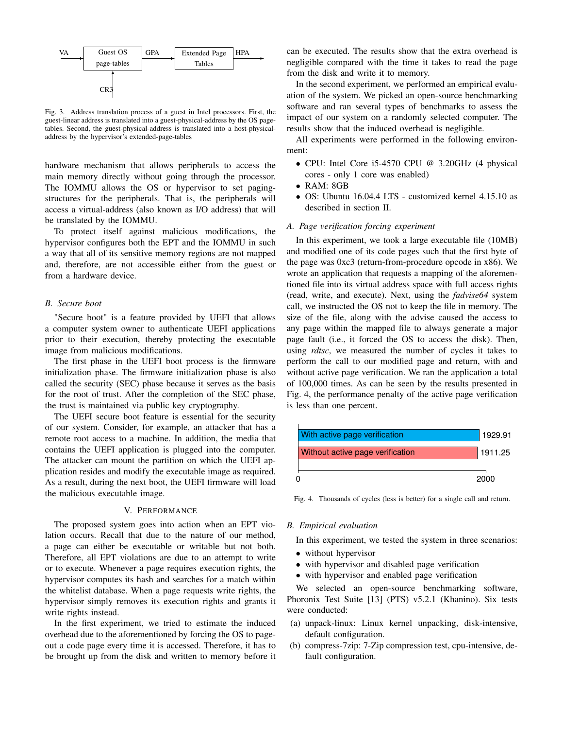

Fig. 3. Address translation process of a guest in Intel processors. First, the guest-linear address is translated into a guest-physical-address by the OS pagetables. Second, the guest-physical-address is translated into a host-physicaladdress by the hypervisor's extended-page-tables

hardware mechanism that allows peripherals to access the main memory directly without going through the processor. The IOMMU allows the OS or hypervisor to set pagingstructures for the peripherals. That is, the peripherals will access a virtual-address (also known as I/O address) that will be translated by the IOMMU.

To protect itself against malicious modifications, the hypervisor configures both the EPT and the IOMMU in such a way that all of its sensitive memory regions are not mapped and, therefore, are not accessible either from the guest or from a hardware device.

# *B. Secure boot*

"Secure boot" is a feature provided by UEFI that allows a computer system owner to authenticate UEFI applications prior to their execution, thereby protecting the executable image from malicious modifications.

The first phase in the UEFI boot process is the firmware initialization phase. The firmware initialization phase is also called the security (SEC) phase because it serves as the basis for the root of trust. After the completion of the SEC phase, the trust is maintained via public key cryptography.

The UEFI secure boot feature is essential for the security of our system. Consider, for example, an attacker that has a remote root access to a machine. In addition, the media that contains the UEFI application is plugged into the computer. The attacker can mount the partition on which the UEFI application resides and modify the executable image as required. As a result, during the next boot, the UEFI firmware will load the malicious executable image.

# V. PERFORMANCE

The proposed system goes into action when an EPT violation occurs. Recall that due to the nature of our method, a page can either be executable or writable but not both. Therefore, all EPT violations are due to an attempt to write or to execute. Whenever a page requires execution rights, the hypervisor computes its hash and searches for a match within the whitelist database. When a page requests write rights, the hypervisor simply removes its execution rights and grants it write rights instead.

In the first experiment, we tried to estimate the induced overhead due to the aforementioned by forcing the OS to pageout a code page every time it is accessed. Therefore, it has to be brought up from the disk and written to memory before it can be executed. The results show that the extra overhead is negligible compared with the time it takes to read the page from the disk and write it to memory.

In the second experiment, we performed an empirical evaluation of the system. We picked an open-source benchmarking software and ran several types of benchmarks to assess the impact of our system on a randomly selected computer. The results show that the induced overhead is negligible.

All experiments were performed in the following environment:

- CPU: Intel Core i5-4570 CPU @ 3.20GHz (4 physical cores - only 1 core was enabled)
- RAM: 8GB
- OS: Ubuntu 16.04.4 LTS customized kernel 4.15.10 as described in section II.

# *A. Page verification forcing experiment*

In this experiment, we took a large executable file (10MB) and modified one of its code pages such that the first byte of the page was 0xc3 (return-from-procedure opcode in x86). We wrote an application that requests a mapping of the aforementioned file into its virtual address space with full access rights (read, write, and execute). Next, using the *fadvise64* system call, we instructed the OS not to keep the file in memory. The size of the file, along with the advise caused the access to any page within the mapped file to always generate a major page fault (i.e., it forced the OS to access the disk). Then, using *rdtsc*, we measured the number of cycles it takes to perform the call to our modified page and return, with and without active page verification. We ran the application a total of 100,000 times. As can be seen by the results presented in Fig. 4, the performance penalty of the active page verification is less than one percent.



Fig. 4. Thousands of cycles (less is better) for a single call and return.

#### *B. Empirical evaluation*

In this experiment, we tested the system in three scenarios:

- without hypervisor
- with hypervisor and disabled page verification
- with hypervisor and enabled page verification

We selected an open-source benchmarking software, Phoronix Test Suite [13] (PTS) v5.2.1 (Khanino). Six tests were conducted:

- (a) unpack-linux: Linux kernel unpacking, disk-intensive, default configuration.
- (b) compress-7zip: 7-Zip compression test, cpu-intensive, default configuration.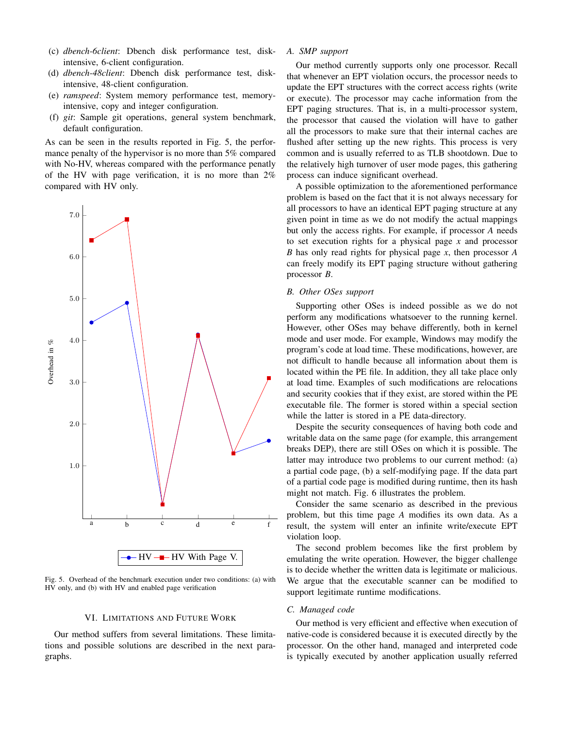- (c) *dbench-6client*: Dbench disk performance test, diskintensive, 6-client configuration.
- (d) *dbench-48client*: Dbench disk performance test, diskintensive, 48-client configuration.
- (e) *ramspeed*: System memory performance test, memoryintensive, copy and integer configuration.
- (f) *git*: Sample git operations, general system benchmark, default configuration.

As can be seen in the results reported in Fig. 5, the performance penalty of the hypervisor is no more than 5% compared with No-HV, whereas compared with the performance penatly of the HV with page verification, it is no more than 2% compared with HV only.



Fig. 5. Overhead of the benchmark execution under two conditions: (a) with HV only, and (b) with HV and enabled page verification

# VI. LIMITATIONS AND FUTURE WORK

Our method suffers from several limitations. These limitations and possible solutions are described in the next paragraphs.

# *A. SMP support*

Our method currently supports only one processor. Recall that whenever an EPT violation occurs, the processor needs to update the EPT structures with the correct access rights (write or execute). The processor may cache information from the EPT paging structures. That is, in a multi-processor system, the processor that caused the violation will have to gather all the processors to make sure that their internal caches are flushed after setting up the new rights. This process is very common and is usually referred to as TLB shootdown. Due to the relatively high turnover of user mode pages, this gathering process can induce significant overhead.

A possible optimization to the aforementioned performance problem is based on the fact that it is not always necessary for all processors to have an identical EPT paging structure at any given point in time as we do not modify the actual mappings but only the access rights. For example, if processor *A* needs to set execution rights for a physical page *x* and processor *B* has only read rights for physical page *x*, then processor *A* can freely modify its EPT paging structure without gathering processor *B*.

#### *B. Other OSes support*

Supporting other OSes is indeed possible as we do not perform any modifications whatsoever to the running kernel. However, other OSes may behave differently, both in kernel mode and user mode. For example, Windows may modify the program's code at load time. These modifications, however, are not difficult to handle because all information about them is located within the PE file. In addition, they all take place only at load time. Examples of such modifications are relocations and security cookies that if they exist, are stored within the PE executable file. The former is stored within a special section while the latter is stored in a PE data-directory.

Despite the security consequences of having both code and writable data on the same page (for example, this arrangement breaks DEP), there are still OSes on which it is possible. The latter may introduce two problems to our current method: (a) a partial code page, (b) a self-modifying page. If the data part of a partial code page is modified during runtime, then its hash might not match. Fig. 6 illustrates the problem.

Consider the same scenario as described in the previous problem, but this time page *A* modifies its own data. As a result, the system will enter an infinite write/execute EPT violation loop.

The second problem becomes like the first problem by emulating the write operation. However, the bigger challenge is to decide whether the written data is legitimate or malicious. We argue that the executable scanner can be modified to support legitimate runtime modifications.

# *C. Managed code*

Our method is very efficient and effective when execution of native-code is considered because it is executed directly by the processor. On the other hand, managed and interpreted code is typically executed by another application usually referred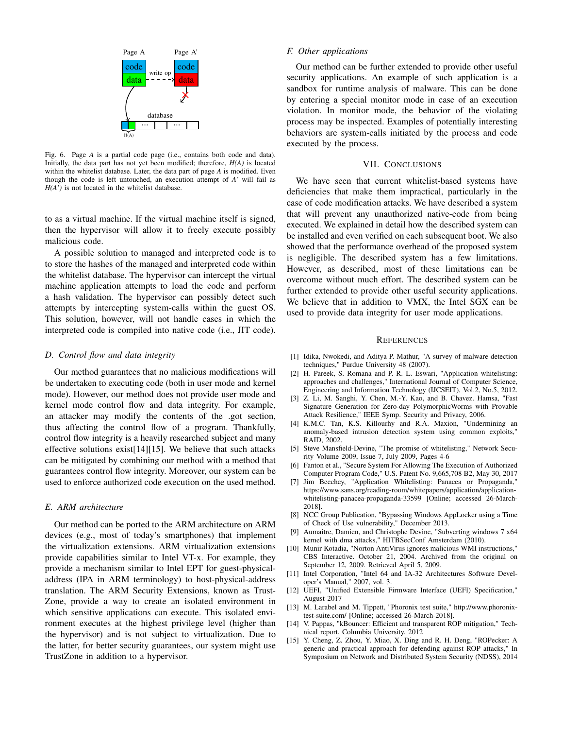

Fig. 6. Page *A* is a partial code page (i.e., contains both code and data). Initially, the data part has not yet been modified; therefore, *H(A)* is located within the whitelist database. Later, the data part of page *A* is modified. Even though the code is left untouched, an execution attempt of *A'* will fail as *H(A')* is not located in the whitelist database.

to as a virtual machine. If the virtual machine itself is signed, then the hypervisor will allow it to freely execute possibly malicious code.

A possible solution to managed and interpreted code is to to store the hashes of the managed and interpreted code within the whitelist database. The hypervisor can intercept the virtual machine application attempts to load the code and perform a hash validation. The hypervisor can possibly detect such attempts by intercepting system-calls within the guest OS. This solution, however, will not handle cases in which the interpreted code is compiled into native code (i.e., JIT code).

#### *D. Control flow and data integrity*

Our method guarantees that no malicious modifications will be undertaken to executing code (both in user mode and kernel mode). However, our method does not provide user mode and kernel mode control flow and data integrity. For example, an attacker may modify the contents of the .got section, thus affecting the control flow of a program. Thankfully, control flow integrity is a heavily researched subject and many effective solutions exist[14][15]. We believe that such attacks can be mitigated by combining our method with a method that guarantees control flow integrity. Moreover, our system can be used to enforce authorized code execution on the used method.

#### *E. ARM architecture*

Our method can be ported to the ARM architecture on ARM devices (e.g., most of today's smartphones) that implement the virtualization extensions. ARM virtualization extensions provide capabilities similar to Intel VT-x. For example, they provide a mechanism similar to Intel EPT for guest-physicaladdress (IPA in ARM terminology) to host-physical-address translation. The ARM Security Extensions, known as Trust-Zone, provide a way to create an isolated environment in which sensitive applications can execute. This isolated environment executes at the highest privilege level (higher than the hypervisor) and is not subject to virtualization. Due to the latter, for better security guarantees, our system might use TrustZone in addition to a hypervisor.

# *F. Other applications*

Our method can be further extended to provide other useful security applications. An example of such application is a sandbox for runtime analysis of malware. This can be done by entering a special monitor mode in case of an execution violation. In monitor mode, the behavior of the violating process may be inspected. Examples of potentially interesting behaviors are system-calls initiated by the process and code executed by the process.

# VII. CONCLUSIONS

We have seen that current whitelist-based systems have deficiencies that make them impractical, particularly in the case of code modification attacks. We have described a system that will prevent any unauthorized native-code from being executed. We explained in detail how the described system can be installed and even verified on each subsequent boot. We also showed that the performance overhead of the proposed system is negligible. The described system has a few limitations. However, as described, most of these limitations can be overcome without much effort. The described system can be further extended to provide other useful security applications. We believe that in addition to VMX, the Intel SGX can be used to provide data integrity for user mode applications.

#### **REFERENCES**

- [1] Idika, Nwokedi, and Aditya P. Mathur, "A survey of malware detection techniques," Purdue University 48 (2007).
- [2] H. Pareek, S. Romana and P. R. L. Eswari, "Application whitelisting: approaches and challenges," International Journal of Computer Science, Engineering and Information Technology (IJCSEIT), Vol.2, No.5, 2012.
- [3] Z. Li, M. Sanghi, Y. Chen, M.-Y. Kao, and B. Chavez. Hamsa, "Fast Signature Generation for Zero-day PolymorphicWorms with Provable Attack Resilience," IEEE Symp. Security and Privacy, 2006.
- [4] K.M.C. Tan, K.S. Killourhy and R.A. Maxion, "Undermining an anomaly-based intrusion detection system using common exploits," RAID, 2002.
- [5] Steve Mansfield-Devine, "The promise of whitelisting," Network Security Volume 2009, Issue 7, July 2009, Pages 4-6
- [6] Fanton et al., "Secure System For Allowing The Execution of Authorized Computer Program Code," U.S. Patent No. 9,665,708 B2, May 30, 2017
- [7] Jim Beechey, "Application Whitelisting: Panacea or Propaganda," https://www.sans.org/reading-room/whitepapers/application/applicationwhitelisting-panacea-propaganda-33599 [Online; accessed 26-March-2018].
- [8] NCC Group Publication, "Bypassing Windows AppLocker using a Time of Check of Use vulnerability," December 2013.
- [9] Aumaitre, Damien, and Christophe Devine, "Subverting windows 7 x64 kernel with dma attacks," HITBSecConf Amsterdam (2010).
- [10] Munir Kotadia, "Norton AntiVirus ignores malicious WMI instructions," CBS Interactive. October 21, 2004. Archived from the original on September 12, 2009. Retrieved April 5, 2009.
- [11] Intel Corporation, "Intel 64 and IA-32 Architectures Software Developer's Manual," 2007, vol. 3.
- [12] UEFI, "Unified Extensible Firmware Interface (UEFI) Specification," August 2017
- [13] M. Larabel and M. Tippett, "Phoronix test suite," http://www.phoronixtest-suite.com/ [Online; accessed 26-March-2018].
- [14] V. Pappas, "kBouncer: Efficient and transparent ROP mitigation," Technical report, Columbia University, 2012
- [15] Y. Cheng, Z. Zhou, Y. Miao, X. Ding and R. H. Deng, "ROPecker: A generic and practical approach for defending against ROP attacks," In Symposium on Network and Distributed System Security (NDSS), 2014